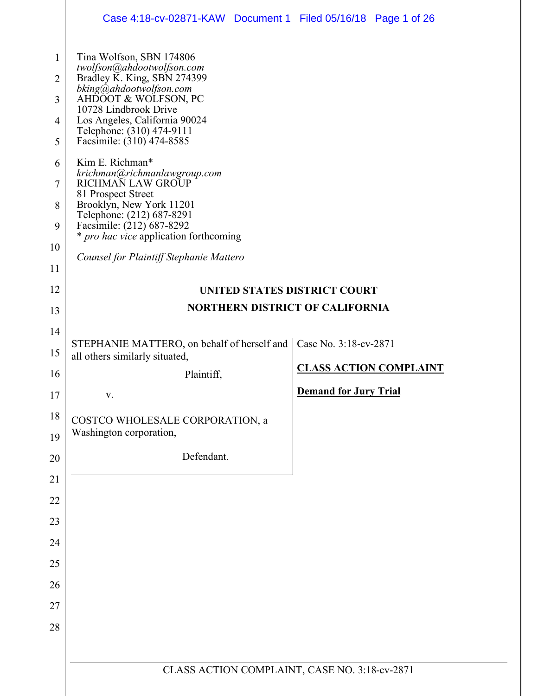|                                                              | Case 4:18-cv-02871-KAW Document 1 Filed 05/16/18 Page 1 of 26                                                                                                                                                                                                                                                                                                                                                                                                                                                                                |                              |                               |  |  |
|--------------------------------------------------------------|----------------------------------------------------------------------------------------------------------------------------------------------------------------------------------------------------------------------------------------------------------------------------------------------------------------------------------------------------------------------------------------------------------------------------------------------------------------------------------------------------------------------------------------------|------------------------------|-------------------------------|--|--|
| 1<br>$\overline{2}$<br>3<br>4<br>5<br>6<br>7<br>8<br>9<br>10 | Tina Wolfson, SBN 174806<br>twolfson@ahdootwolfson.com<br>Bradley K. King, SBN 274399<br>bking@ahdootwolfson.com<br>AHDOOT & WOLFSON, PC<br>10728 Lindbrook Drive<br>Los Angeles, California 90024<br>Telephone: (310) 474-9111<br>Facsimile: (310) 474-8585<br>Kim E. Richman*<br>krichman@richmanlawgroup.com<br>RICHMAN LAW GROUP<br>81 Prospect Street<br>Brooklyn, New York 11201<br>Telephone: (212) 687-8291<br>Facsimile: (212) 687-8292<br><i>* pro hac vice</i> application forthcoming<br>Counsel for Plaintiff Stephanie Mattero |                              |                               |  |  |
| 11                                                           |                                                                                                                                                                                                                                                                                                                                                                                                                                                                                                                                              |                              |                               |  |  |
| 12                                                           | UNITED STATES DISTRICT COURT<br><b>NORTHERN DISTRICT OF CALIFORNIA</b>                                                                                                                                                                                                                                                                                                                                                                                                                                                                       |                              |                               |  |  |
| 13                                                           |                                                                                                                                                                                                                                                                                                                                                                                                                                                                                                                                              |                              |                               |  |  |
| 14                                                           | STEPHANIE MATTERO, on behalf of herself and                                                                                                                                                                                                                                                                                                                                                                                                                                                                                                  | Case No. 3:18-cv-2871        |                               |  |  |
| 15                                                           | all others similarly situated,                                                                                                                                                                                                                                                                                                                                                                                                                                                                                                               |                              | <b>CLASS ACTION COMPLAINT</b> |  |  |
| 16<br>17                                                     | Plaintiff,                                                                                                                                                                                                                                                                                                                                                                                                                                                                                                                                   | <b>Demand for Jury Trial</b> |                               |  |  |
| 18                                                           |                                                                                                                                                                                                                                                                                                                                                                                                                                                                                                                                              |                              |                               |  |  |
| 19                                                           | COSTCO WHOLESALE CORPORATION, a<br>Washington corporation,                                                                                                                                                                                                                                                                                                                                                                                                                                                                                   |                              |                               |  |  |
| 20                                                           | Defendant.                                                                                                                                                                                                                                                                                                                                                                                                                                                                                                                                   |                              |                               |  |  |
| 21                                                           |                                                                                                                                                                                                                                                                                                                                                                                                                                                                                                                                              |                              |                               |  |  |
| 22                                                           |                                                                                                                                                                                                                                                                                                                                                                                                                                                                                                                                              |                              |                               |  |  |
| 23                                                           |                                                                                                                                                                                                                                                                                                                                                                                                                                                                                                                                              |                              |                               |  |  |
| 24                                                           |                                                                                                                                                                                                                                                                                                                                                                                                                                                                                                                                              |                              |                               |  |  |
| 25                                                           |                                                                                                                                                                                                                                                                                                                                                                                                                                                                                                                                              |                              |                               |  |  |
| 26                                                           |                                                                                                                                                                                                                                                                                                                                                                                                                                                                                                                                              |                              |                               |  |  |
| 27                                                           |                                                                                                                                                                                                                                                                                                                                                                                                                                                                                                                                              |                              |                               |  |  |
| 28                                                           |                                                                                                                                                                                                                                                                                                                                                                                                                                                                                                                                              |                              |                               |  |  |
|                                                              |                                                                                                                                                                                                                                                                                                                                                                                                                                                                                                                                              |                              |                               |  |  |
|                                                              | CLASS ACTION COMPLAINT, CASE NO. 3:18-cv-2871                                                                                                                                                                                                                                                                                                                                                                                                                                                                                                |                              |                               |  |  |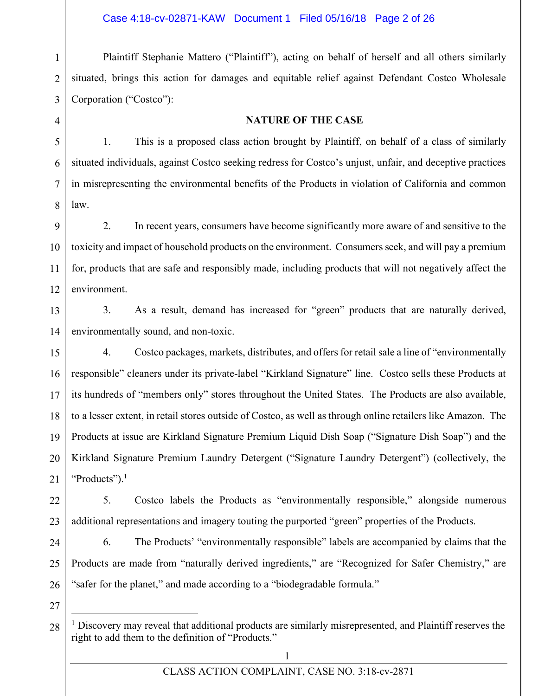## Case 4:18-cv-02871-KAW Document 1 Filed 05/16/18 Page 2 of 26

1 2 3 Plaintiff Stephanie Mattero ("Plaintiff"), acting on behalf of herself and all others similarly situated, brings this action for damages and equitable relief against Defendant Costco Wholesale Corporation ("Costco"):

**NATURE OF THE CASE**

5 6 7 8 1. This is a proposed class action brought by Plaintiff, on behalf of a class of similarly situated individuals, against Costco seeking redress for Costco's unjust, unfair, and deceptive practices in misrepresenting the environmental benefits of the Products in violation of California and common law.

9 10 11 12 2. In recent years, consumers have become significantly more aware of and sensitive to the toxicity and impact of household products on the environment. Consumers seek, and will pay a premium for, products that are safe and responsibly made, including products that will not negatively affect the environment.

13 14 3. As a result, demand has increased for "green" products that are naturally derived, environmentally sound, and non-toxic.

15 16 17 18 19 20 21 4. Costco packages, markets, distributes, and offers for retail sale a line of "environmentally responsible" cleaners under its private-label "Kirkland Signature" line. Costco sells these Products at its hundreds of "members only" stores throughout the United States. The Products are also available, to a lesser extent, in retail stores outside of Costco, as well as through online retailers like Amazon. The Products at issue are Kirkland Signature Premium Liquid Dish Soap ("Signature Dish Soap") and the Kirkland Signature Premium Laundry Detergent ("Signature Laundry Detergent") (collectively, the "Products"). $<sup>1</sup>$ </sup>

22 23 5. Costco labels the Products as "environmentally responsible," alongside numerous additional representations and imagery touting the purported "green" properties of the Products.

24 25 26 6. The Products' "environmentally responsible" labels are accompanied by claims that the Products are made from "naturally derived ingredients," are "Recognized for Safer Chemistry," are "safer for the planet," and made according to a "biodegradable formula."

27

-

<sup>28</sup>  <sup>1</sup> Discovery may reveal that additional products are similarly misrepresented, and Plaintiff reserves the right to add them to the definition of "Products."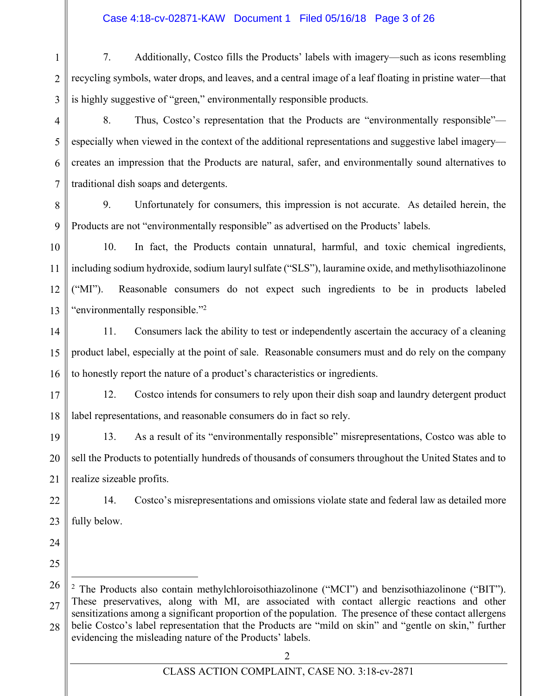## Case 4:18-cv-02871-KAW Document 1 Filed 05/16/18 Page 3 of 26

1 2 3 7. Additionally, Costco fills the Products' labels with imagery—such as icons resembling recycling symbols, water drops, and leaves, and a central image of a leaf floating in pristine water—that is highly suggestive of "green," environmentally responsible products.

4

5

6

7

8. Thus, Costco's representation that the Products are "environmentally responsible" especially when viewed in the context of the additional representations and suggestive label imagery creates an impression that the Products are natural, safer, and environmentally sound alternatives to traditional dish soaps and detergents.

8 9 9. Unfortunately for consumers, this impression is not accurate. As detailed herein, the Products are not "environmentally responsible" as advertised on the Products' labels.

10 11 12 13 10. In fact, the Products contain unnatural, harmful, and toxic chemical ingredients, including sodium hydroxide, sodium lauryl sulfate ("SLS"), lauramine oxide, and methylisothiazolinone ("MI"). Reasonable consumers do not expect such ingredients to be in products labeled "environmentally responsible."2

14 15 16 11. Consumers lack the ability to test or independently ascertain the accuracy of a cleaning product label, especially at the point of sale. Reasonable consumers must and do rely on the company to honestly report the nature of a product's characteristics or ingredients.

17 18 12. Costco intends for consumers to rely upon their dish soap and laundry detergent product label representations, and reasonable consumers do in fact so rely.

19 20 21 13. As a result of its "environmentally responsible" misrepresentations, Costco was able to sell the Products to potentially hundreds of thousands of consumers throughout the United States and to realize sizeable profits.

22 23 14. Costco's misrepresentations and omissions violate state and federal law as detailed more fully below.

- 24
- 25

-

26 27 28 2 The Products also contain methylchloroisothiazolinone ("MCI") and benzisothiazolinone ("BIT"). These preservatives, along with MI, are associated with contact allergic reactions and other sensitizations among a significant proportion of the population. The presence of these contact allergens belie Costco's label representation that the Products are "mild on skin" and "gentle on skin," further

evidencing the misleading nature of the Products' labels.

 $\mathcal{D}_{\mathcal{L}}$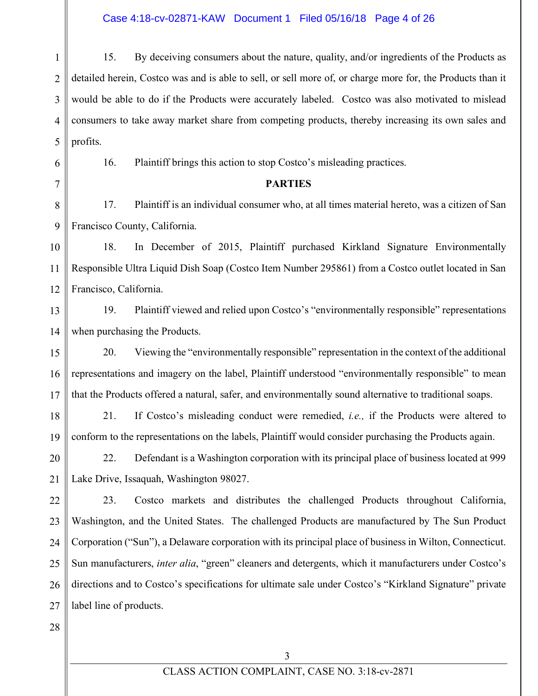#### Case 4:18-cv-02871-KAW Document 1 Filed 05/16/18 Page 4 of 26

1 2 3 4 5 15. By deceiving consumers about the nature, quality, and/or ingredients of the Products as detailed herein, Costco was and is able to sell, or sell more of, or charge more for, the Products than it would be able to do if the Products were accurately labeled. Costco was also motivated to mislead consumers to take away market share from competing products, thereby increasing its own sales and profits.

16. Plaintiff brings this action to stop Costco's misleading practices.

#### **PARTIES**

8 9 17. Plaintiff is an individual consumer who, at all times material hereto, was a citizen of San Francisco County, California.

10 11 12 18. In December of 2015, Plaintiff purchased Kirkland Signature Environmentally Responsible Ultra Liquid Dish Soap (Costco Item Number 295861) from a Costco outlet located in San Francisco, California.

13 14 19. Plaintiff viewed and relied upon Costco's "environmentally responsible" representations when purchasing the Products.

15 16 17 20. Viewing the "environmentally responsible" representation in the context of the additional representations and imagery on the label, Plaintiff understood "environmentally responsible" to mean that the Products offered a natural, safer, and environmentally sound alternative to traditional soaps.

18 19 21. If Costco's misleading conduct were remedied, *i.e.,* if the Products were altered to conform to the representations on the labels, Plaintiff would consider purchasing the Products again.

20 21 22. Defendant is a Washington corporation with its principal place of business located at 999 Lake Drive, Issaquah, Washington 98027.

22 23 24 25 26 27 23. Costco markets and distributes the challenged Products throughout California, Washington, and the United States. The challenged Products are manufactured by The Sun Product Corporation ("Sun"), a Delaware corporation with its principal place of business in Wilton, Connecticut. Sun manufacturers, *inter alia*, "green" cleaners and detergents, which it manufacturers under Costco's directions and to Costco's specifications for ultimate sale under Costco's "Kirkland Signature" private label line of products.

28

6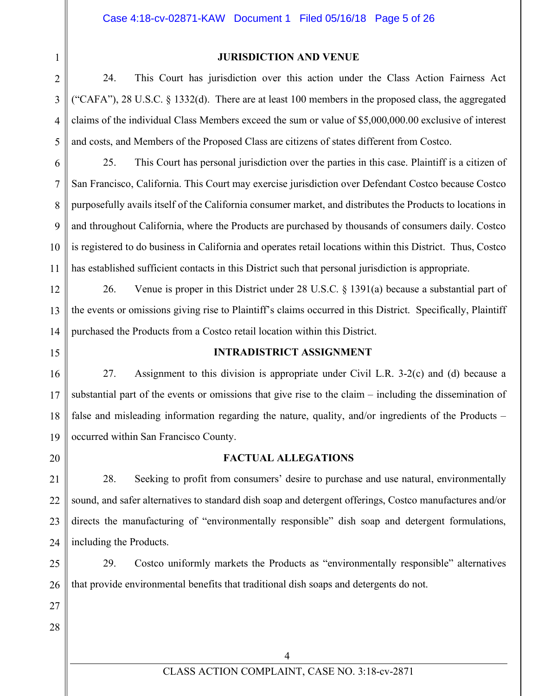## Case 4:18-cv-02871-KAW Document 1 Filed 05/16/18 Page 5 of 26

1 2

#### **JURISDICTION AND VENUE**

3 4 5 24. This Court has jurisdiction over this action under the Class Action Fairness Act ("CAFA"), 28 U.S.C.  $\S$  1332(d). There are at least 100 members in the proposed class, the aggregated claims of the individual Class Members exceed the sum or value of \$5,000,000.00 exclusive of interest and costs, and Members of the Proposed Class are citizens of states different from Costco.

6 7 8 9 10 11 25. This Court has personal jurisdiction over the parties in this case. Plaintiff is a citizen of San Francisco, California. This Court may exercise jurisdiction over Defendant Costco because Costco purposefully avails itself of the California consumer market, and distributes the Products to locations in and throughout California, where the Products are purchased by thousands of consumers daily. Costco is registered to do business in California and operates retail locations within this District. Thus, Costco has established sufficient contacts in this District such that personal jurisdiction is appropriate.

12 13 14 26. Venue is proper in this District under 28 U.S.C. § 1391(a) because a substantial part of the events or omissions giving rise to Plaintiff's claims occurred in this District. Specifically, Plaintiff purchased the Products from a Costco retail location within this District.

15

#### **INTRADISTRICT ASSIGNMENT**

16 17 18 19 27. Assignment to this division is appropriate under Civil L.R. 3-2(c) and (d) because a substantial part of the events or omissions that give rise to the claim – including the dissemination of false and misleading information regarding the nature, quality, and/or ingredients of the Products – occurred within San Francisco County.

20

#### **FACTUAL ALLEGATIONS**

21 22 23 24 28. Seeking to profit from consumers' desire to purchase and use natural, environmentally sound, and safer alternatives to standard dish soap and detergent offerings, Costco manufactures and/or directs the manufacturing of "environmentally responsible" dish soap and detergent formulations, including the Products.

25 26 29. Costco uniformly markets the Products as "environmentally responsible" alternatives that provide environmental benefits that traditional dish soaps and detergents do not.

- 27
- 28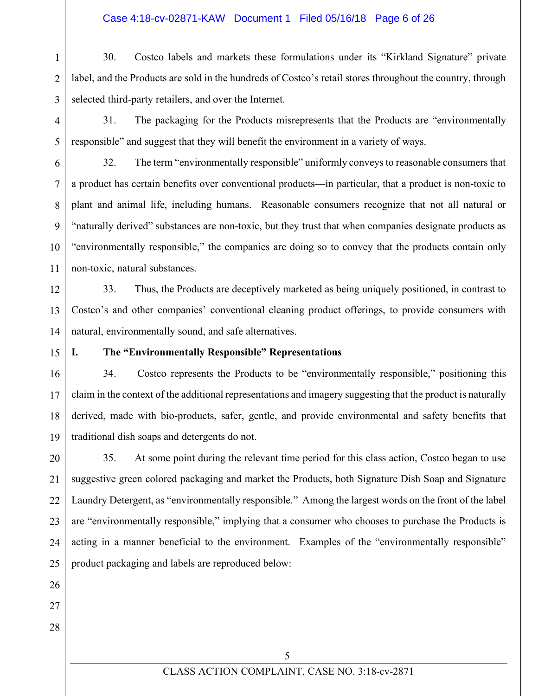## Case 4:18-cv-02871-KAW Document 1 Filed 05/16/18 Page 6 of 26

1 2 3 30. Costco labels and markets these formulations under its "Kirkland Signature" private label, and the Products are sold in the hundreds of Costco's retail stores throughout the country, through selected third-party retailers, and over the Internet.

4

5

31. The packaging for the Products misrepresents that the Products are "environmentally responsible" and suggest that they will benefit the environment in a variety of ways.

6 7 8 9 10 11 32. The term "environmentally responsible" uniformly conveys to reasonable consumers that a product has certain benefits over conventional products—in particular, that a product is non-toxic to plant and animal life, including humans. Reasonable consumers recognize that not all natural or "naturally derived" substances are non-toxic, but they trust that when companies designate products as "environmentally responsible," the companies are doing so to convey that the products contain only non-toxic, natural substances.

12 13 14 33. Thus, the Products are deceptively marketed as being uniquely positioned, in contrast to Costco's and other companies' conventional cleaning product offerings, to provide consumers with natural, environmentally sound, and safe alternatives.

15

## **I. The "Environmentally Responsible" Representations**

16 17 18 19 34. Costco represents the Products to be "environmentally responsible," positioning this claim in the context of the additional representations and imagery suggesting that the product is naturally derived, made with bio-products, safer, gentle, and provide environmental and safety benefits that traditional dish soaps and detergents do not.

20 21 22 23 24 25 35. At some point during the relevant time period for this class action, Costco began to use suggestive green colored packaging and market the Products, both Signature Dish Soap and Signature Laundry Detergent, as "environmentally responsible." Among the largest words on the front of the label are "environmentally responsible," implying that a consumer who chooses to purchase the Products is acting in a manner beneficial to the environment. Examples of the "environmentally responsible" product packaging and labels are reproduced below:

- 26
- 27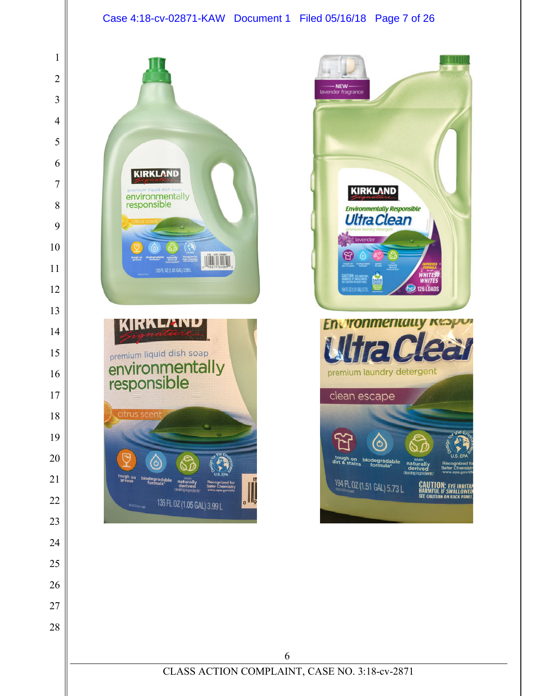## Case 4:18-cv-02871-KAW Document 1 Filed 05/16/18 Page 7 of 26



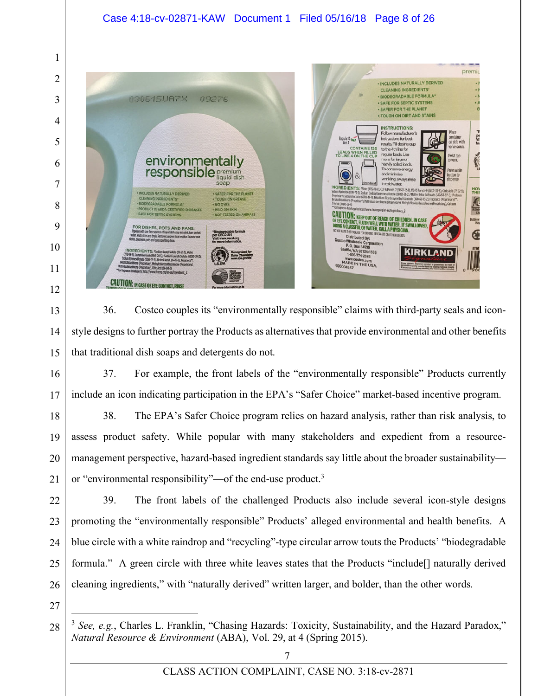## Case 4:18-cv-02871-KAW Document 1 Filed 05/16/18 Page 8 of 26



 36. Costco couples its "environmentally responsible" claims with third-party seals and iconstyle designs to further portray the Products as alternatives that provide environmental and other benefits that traditional dish soaps and detergents do not.

 37. For example, the front labels of the "environmentally responsible" Products currently include an icon indicating participation in the EPA's "Safer Choice" market-based incentive program.

 38. The EPA's Safer Choice program relies on hazard analysis, rather than risk analysis, to assess product safety. While popular with many stakeholders and expedient from a resourcemanagement perspective, hazard-based ingredient standards say little about the broader sustainability or "environmental responsibility"—of the end-use product.3

 39. The front labels of the challenged Products also include several icon-style designs promoting the "environmentally responsible" Products' alleged environmental and health benefits. A blue circle with a white raindrop and "recycling"-type circular arrow touts the Products' "biodegradable formula." A green circle with three white leaves states that the Products "include[] naturally derived cleaning ingredients," with "naturally derived" written larger, and bolder, than the other words.

-

 *See, e.g.*, Charles L. Franklin, "Chasing Hazards: Toxicity, Sustainability, and the Hazard Paradox," *Natural Resource & Environment* (ABA), Vol. 29, at 4 (Spring 2015).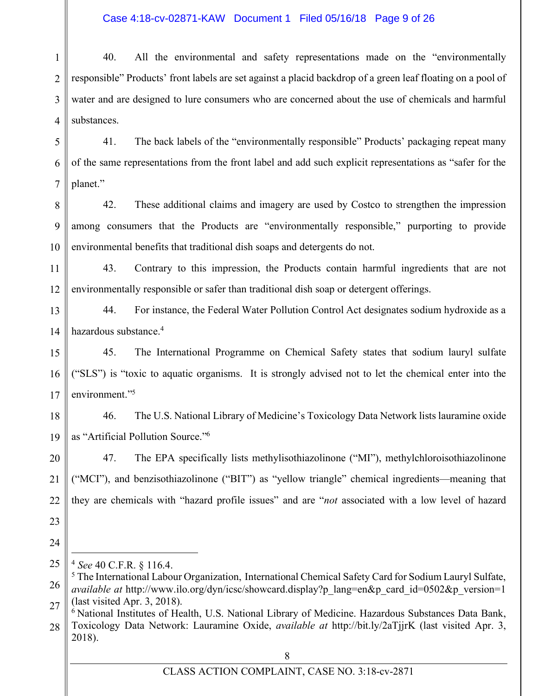## Case 4:18-cv-02871-KAW Document 1 Filed 05/16/18 Page 9 of 26

1 2 3 4 40. All the environmental and safety representations made on the "environmentally responsible" Products' front labels are set against a placid backdrop of a green leaf floating on a pool of water and are designed to lure consumers who are concerned about the use of chemicals and harmful substances.

5 6 7 41. The back labels of the "environmentally responsible" Products' packaging repeat many of the same representations from the front label and add such explicit representations as "safer for the planet."

8 9 10 42. These additional claims and imagery are used by Costco to strengthen the impression among consumers that the Products are "environmentally responsible," purporting to provide environmental benefits that traditional dish soaps and detergents do not.

11 12 43. Contrary to this impression, the Products contain harmful ingredients that are not environmentally responsible or safer than traditional dish soap or detergent offerings.

13 14 44. For instance, the Federal Water Pollution Control Act designates sodium hydroxide as a hazardous substance.<sup>4</sup>

15 16 17 45. The International Programme on Chemical Safety states that sodium lauryl sulfate ("SLS") is "toxic to aquatic organisms. It is strongly advised not to let the chemical enter into the environment."5

18 19 46. The U.S. National Library of Medicine's Toxicology Data Network lists lauramine oxide as "Artificial Pollution Source."6

20 21 22 47. The EPA specifically lists methylisothiazolinone ("MI"), methylchloroisothiazolinone ("MCI"), and benzisothiazolinone ("BIT") as "yellow triangle" chemical ingredients—meaning that they are chemicals with "hazard profile issues" and are "*not* associated with a low level of hazard

25 -<sup>4</sup> *See* 40 C.F.R. § 116.4.

23

<sup>26</sup>  27 5 The International Labour Organization, International Chemical Safety Card for Sodium Lauryl Sulfate, *available at* http://www.ilo.org/dyn/icsc/showcard.display?p\_lang=en&p\_card\_id=0502&p\_version=1 (last visited Apr. 3, 2018).

<sup>28</sup>  <sup>6</sup> National Institutes of Health, U.S. National Library of Medicine. Hazardous Substances Data Bank, Toxicology Data Network: Lauramine Oxide, *available at* http://bit.ly/2aTjjrK (last visited Apr. 3, 2018).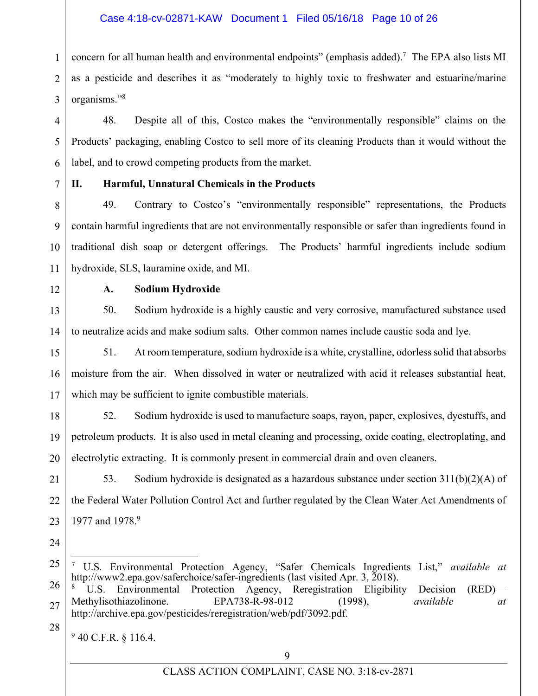## Case 4:18-cv-02871-KAW Document 1 Filed 05/16/18 Page 10 of 26

1 2 3 concern for all human health and environmental endpoints" (emphasis added).<sup>7</sup> The EPA also lists MI as a pesticide and describes it as "moderately to highly toxic to freshwater and estuarine/marine organisms."8

4 5 6 48. Despite all of this, Costco makes the "environmentally responsible" claims on the Products' packaging, enabling Costco to sell more of its cleaning Products than it would without the label, and to crowd competing products from the market.

7

## **II. Harmful, Unnatural Chemicals in the Products**

8 9 10 11 49. Contrary to Costco's "environmentally responsible" representations, the Products contain harmful ingredients that are not environmentally responsible or safer than ingredients found in traditional dish soap or detergent offerings. The Products' harmful ingredients include sodium hydroxide, SLS, lauramine oxide, and MI.

12

## **A. Sodium Hydroxide**

13 14 50. Sodium hydroxide is a highly caustic and very corrosive, manufactured substance used to neutralize acids and make sodium salts. Other common names include caustic soda and lye.

15 16 17 51. At room temperature, sodium hydroxide is a white, crystalline, odorless solid that absorbs moisture from the air. When dissolved in water or neutralized with acid it releases substantial heat, which may be sufficient to ignite combustible materials.

18 19 20 52. Sodium hydroxide is used to manufacture soaps, rayon, paper, explosives, dyestuffs, and petroleum products. It is also used in metal cleaning and processing, oxide coating, electroplating, and electrolytic extracting. It is commonly present in commercial drain and oven cleaners.

21 22 23 53. Sodium hydroxide is designated as a hazardous substance under section  $311(b)(2)(A)$  of the Federal Water Pollution Control Act and further regulated by the Clean Water Act Amendments of 1977 and 1978.<sup>9</sup>

24

-

28

9 40 C.F.R. § 116.4.

<sup>25</sup>  26 7 U.S. Environmental Protection Agency, "Safer Chemicals Ingredients List," *available at* http://www2.epa.gov/saferchoice/safer-ingredients (last visited Apr. 3, 2018).

<sup>27</sup>  8 U.S. Environmental Protection Agency, Reregistration Eligibility Decision (RED)— Methylisothiazolinone. EPA738-R-98-012 (1998), *available at* http://archive.epa.gov/pesticides/reregistration/web/pdf/3092.pdf.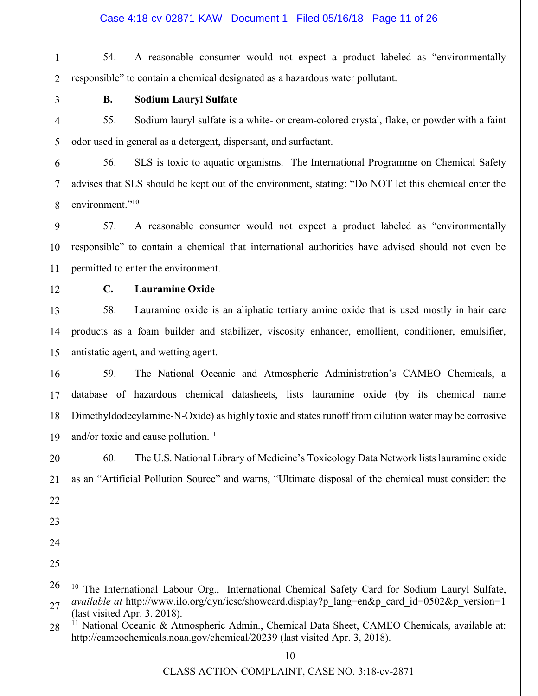1 2 54. A reasonable consumer would not expect a product labeled as "environmentally responsible" to contain a chemical designated as a hazardous water pollutant.

3

## **B. Sodium Lauryl Sulfate**

4 5 55. Sodium lauryl sulfate is a white- or cream-colored crystal, flake, or powder with a faint odor used in general as a detergent, dispersant, and surfactant.

6 7 8 56. SLS is toxic to aquatic organisms. The International Programme on Chemical Safety advises that SLS should be kept out of the environment, stating: "Do NOT let this chemical enter the environment."<sup>10</sup>

9 10 11 57. A reasonable consumer would not expect a product labeled as "environmentally responsible" to contain a chemical that international authorities have advised should not even be permitted to enter the environment.

12

## **C. Lauramine Oxide**

13 14 15 58. Lauramine oxide is an aliphatic tertiary amine oxide that is used mostly in hair care products as a foam builder and stabilizer, viscosity enhancer, emollient, conditioner, emulsifier, antistatic agent, and wetting agent.

16 17 18 19 59. The National Oceanic and Atmospheric Administration's CAMEO Chemicals, a database of hazardous chemical datasheets, lists lauramine oxide (by its chemical name Dimethyldodecylamine-N-Oxide) as highly toxic and states runoff from dilution water may be corrosive and/or toxic and cause pollution.<sup>11</sup>

20 21 60. The U.S. National Library of Medicine's Toxicology Data Network lists lauramine oxide as an "Artificial Pollution Source" and warns, "Ultimate disposal of the chemical must consider: the

- 22
- 23 24
- 25

-

<sup>26</sup>  27 <sup>10</sup> The International Labour Org., International Chemical Safety Card for Sodium Lauryl Sulfate, *available at* http://www.ilo.org/dyn/icsc/showcard.display?p\_lang=en&p\_card\_id=0502&p\_version=1 (last visited Apr. 3. 2018).

<sup>28</sup>  <sup>11</sup> National Oceanic & Atmospheric Admin., Chemical Data Sheet, CAMEO Chemicals, available at: http://cameochemicals.noaa.gov/chemical/20239 (last visited Apr. 3, 2018).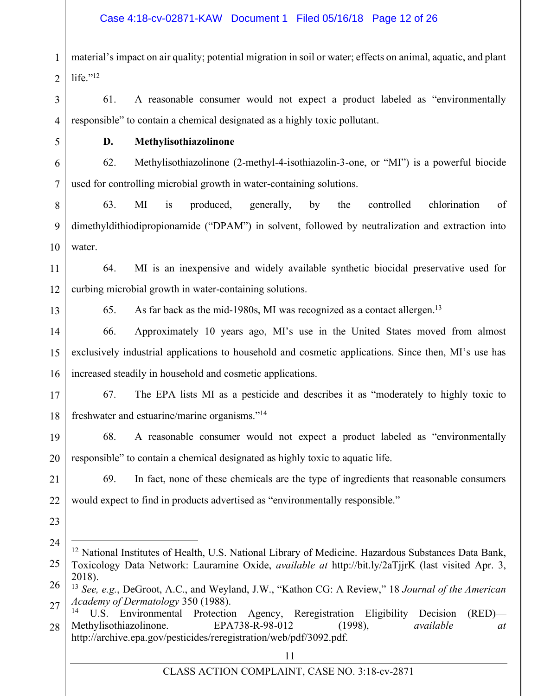## Case 4:18-cv-02871-KAW Document 1 Filed 05/16/18 Page 12 of 26

1 2 material's impact on air quality; potential migration in soil or water; effects on animal, aquatic, and plant life." $^{12}$ 

3 4 61. A reasonable consumer would not expect a product labeled as "environmentally responsible" to contain a chemical designated as a highly toxic pollutant.

5

## **D. Methylisothiazolinone**

6 7 62. Methylisothiazolinone (2-methyl-4-isothiazolin-3-one, or "MI") is a powerful biocide used for controlling microbial growth in water-containing solutions.

8 9 10 63. MI is produced, generally, by the controlled chlorination of dimethyldithiodipropionamide ("DPAM") in solvent, followed by neutralization and extraction into water.

11 12 64. MI is an inexpensive and widely available synthetic biocidal preservative used for curbing microbial growth in water-containing solutions.

13

65. As far back as the mid-1980s, MI was recognized as a contact allergen.13

14 15 16 66. Approximately 10 years ago, MI's use in the United States moved from almost exclusively industrial applications to household and cosmetic applications. Since then, MI's use has increased steadily in household and cosmetic applications.

17 18 67. The EPA lists MI as a pesticide and describes it as "moderately to highly toxic to freshwater and estuarine/marine organisms."14

19 20 68. A reasonable consumer would not expect a product labeled as "environmentally responsible" to contain a chemical designated as highly toxic to aquatic life.

21 22 69. In fact, none of these chemicals are the type of ingredients that reasonable consumers would expect to find in products advertised as "environmentally responsible."

23 24

-

<sup>25</sup>  <sup>12</sup> National Institutes of Health, U.S. National Library of Medicine. Hazardous Substances Data Bank, Toxicology Data Network: Lauramine Oxide, *available at* http://bit.ly/2aTjjrK (last visited Apr. 3, 2018).

<sup>26</sup>  27 <sup>13</sup> *See, e.g.*, DeGroot, A.C., and Weyland, J.W., "Kathon CG: A Review," 18 *Journal of the American Academy of Dermatology* 350 (1988).

<sup>28</sup>  14 U.S. Environmental Protection Agency, Reregistration Eligibility Decision (RED)— Methylisothiazolinone. EPA738-R-98-012 (1998), *available at* http://archive.epa.gov/pesticides/reregistration/web/pdf/3092.pdf.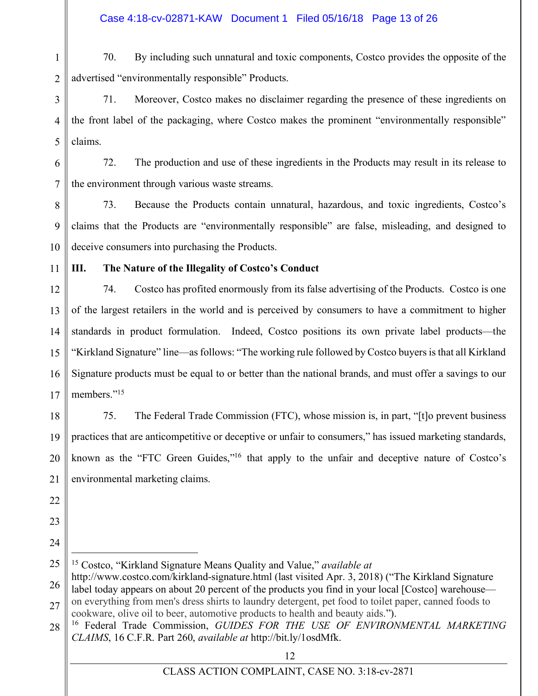1 2 70. By including such unnatural and toxic components, Costco provides the opposite of the advertised "environmentally responsible" Products.

3 4 5 71. Moreover, Costco makes no disclaimer regarding the presence of these ingredients on the front label of the packaging, where Costco makes the prominent "environmentally responsible" claims.

6 7 72. The production and use of these ingredients in the Products may result in its release to the environment through various waste streams.

8 9 10 73. Because the Products contain unnatural, hazardous, and toxic ingredients, Costco's claims that the Products are "environmentally responsible" are false, misleading, and designed to deceive consumers into purchasing the Products.

11

## **III. The Nature of the Illegality of Costco's Conduct**

12 13 14 15 16 17 74. Costco has profited enormously from its false advertising of the Products. Costco is one of the largest retailers in the world and is perceived by consumers to have a commitment to higher standards in product formulation. Indeed, Costco positions its own private label products—the "Kirkland Signature" line—as follows: "The working rule followed by Costco buyers is that all Kirkland Signature products must be equal to or better than the national brands, and must offer a savings to our members."<sup>15</sup>

18 19 20 21 75. The Federal Trade Commission (FTC), whose mission is, in part, "[t]o prevent business practices that are anticompetitive or deceptive or unfair to consumers," has issued marketing standards, known as the "FTC Green Guides,"16 that apply to the unfair and deceptive nature of Costco's environmental marketing claims.

- 22
- 23
- 24

-

25 15 Costco, "Kirkland Signature Means Quality and Value," *available at*

26 27 http://www.costco.com/kirkland-signature.html (last visited Apr. 3, 2018) ("The Kirkland Signature label today appears on about 20 percent of the products you find in your local [Costco] warehouse on everything from men's dress shirts to laundry detergent, pet food to toilet paper, canned foods to

cookware, olive oil to beer, automotive products to health and beauty aids.").

28 16 Federal Trade Commission, *GUIDES FOR THE USE OF ENVIRONMENTAL MARKETING CLAIMS*, 16 C.F.R. Part 260, *available at* http://bit.ly/1osdMfk.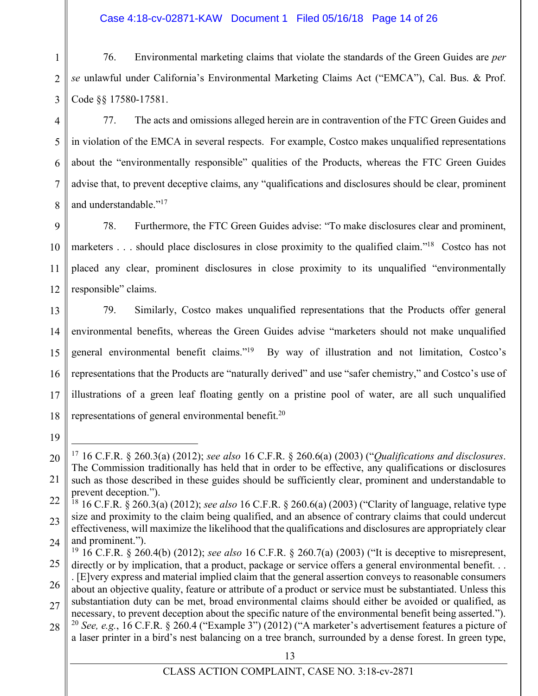## Case 4:18-cv-02871-KAW Document 1 Filed 05/16/18 Page 14 of 26

1 2 3 76. Environmental marketing claims that violate the standards of the Green Guides are *per se* unlawful under California's Environmental Marketing Claims Act ("EMCA"), Cal. Bus. & Prof. Code §§ 17580-17581.

4 5 6 7 8 77. The acts and omissions alleged herein are in contravention of the FTC Green Guides and in violation of the EMCA in several respects. For example, Costco makes unqualified representations about the "environmentally responsible" qualities of the Products, whereas the FTC Green Guides advise that, to prevent deceptive claims, any "qualifications and disclosures should be clear, prominent and understandable."17

9 10 11 12 78. Furthermore, the FTC Green Guides advise: "To make disclosures clear and prominent, marketers . . . should place disclosures in close proximity to the qualified claim."<sup>18</sup> Costco has not placed any clear, prominent disclosures in close proximity to its unqualified "environmentally responsible" claims.

13 14 15 16 17 18 79. Similarly, Costco makes unqualified representations that the Products offer general environmental benefits, whereas the Green Guides advise "marketers should not make unqualified general environmental benefit claims."19 By way of illustration and not limitation, Costco's representations that the Products are "naturally derived" and use "safer chemistry," and Costco's use of illustrations of a green leaf floating gently on a pristine pool of water, are all such unqualified representations of general environmental benefit.20

19

-

24 and prominent.").

<sup>20</sup>  21 17 16 C.F.R. § 260.3(a) (2012); *see also* 16 C.F.R. § 260.6(a) (2003) ("*Qualifications and disclosures*. The Commission traditionally has held that in order to be effective, any qualifications or disclosures such as those described in these guides should be sufficiently clear, prominent and understandable to prevent deception.").

<sup>22</sup>  23 18 16 C.F.R. § 260.3(a) (2012); *see also* 16 C.F.R. § 260.6(a) (2003) ("Clarity of language, relative type size and proximity to the claim being qualified, and an absence of contrary claims that could undercut effectiveness, will maximize the likelihood that the qualifications and disclosures are appropriately clear

<sup>25</sup>  19 16 C.F.R. § 260.4(b) (2012); *see also* 16 C.F.R. § 260.7(a) (2003) ("It is deceptive to misrepresent, directly or by implication, that a product, package or service offers a general environmental benefit. . .

<sup>26</sup>  . [E]very express and material implied claim that the general assertion conveys to reasonable consumers about an objective quality, feature or attribute of a product or service must be substantiated. Unless this

<sup>27</sup>  substantiation duty can be met, broad environmental claims should either be avoided or qualified, as necessary, to prevent deception about the specific nature of the environmental benefit being asserted.").

<sup>28</sup>  <sup>20</sup> *See, e.g.*, 16 C.F.R. § 260.4 ("Example 3") (2012) ("A marketer's advertisement features a picture of a laser printer in a bird's nest balancing on a tree branch, surrounded by a dense forest. In green type,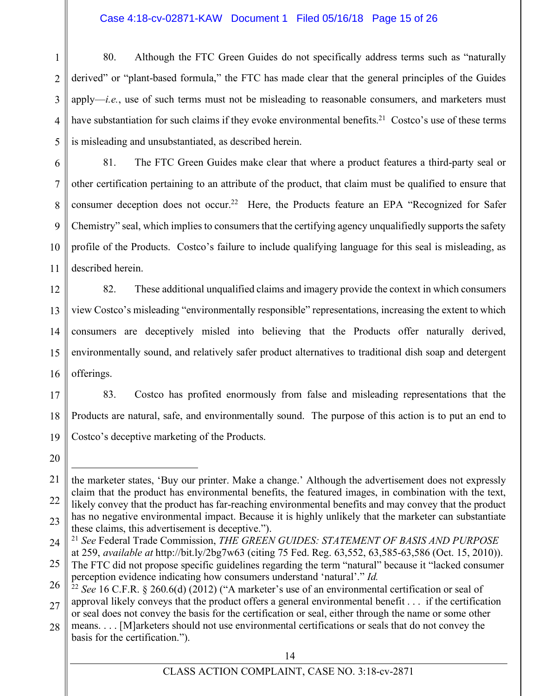1 2 3 4 5 80. Although the FTC Green Guides do not specifically address terms such as "naturally derived" or "plant-based formula," the FTC has made clear that the general principles of the Guides apply—*i.e.*, use of such terms must not be misleading to reasonable consumers, and marketers must have substantiation for such claims if they evoke environmental benefits.<sup>21</sup> Costco's use of these terms is misleading and unsubstantiated, as described herein.

6 7 8 9 10 11 81. The FTC Green Guides make clear that where a product features a third-party seal or other certification pertaining to an attribute of the product, that claim must be qualified to ensure that consumer deception does not occur.<sup>22</sup> Here, the Products feature an EPA "Recognized for Safer Chemistry" seal, which implies to consumers that the certifying agency unqualifiedly supports the safety profile of the Products. Costco's failure to include qualifying language for this seal is misleading, as described herein.

12 13 14 15 16 82. These additional unqualified claims and imagery provide the context in which consumers view Costco's misleading "environmentally responsible" representations, increasing the extent to which consumers are deceptively misled into believing that the Products offer naturally derived, environmentally sound, and relatively safer product alternatives to traditional dish soap and detergent offerings.

17 18 19 83. Costco has profited enormously from false and misleading representations that the Products are natural, safe, and environmentally sound. The purpose of this action is to put an end to Costco's deceptive marketing of the Products.

20

-

<sup>21</sup>  22 23 the marketer states, 'Buy our printer. Make a change.' Although the advertisement does not expressly claim that the product has environmental benefits, the featured images, in combination with the text, likely convey that the product has far-reaching environmental benefits and may convey that the product has no negative environmental impact. Because it is highly unlikely that the marketer can substantiate these claims, this advertisement is deceptive.").

<sup>24</sup>  <sup>21</sup> *See* Federal Trade Commission, *THE GREEN GUIDES: STATEMENT OF BASIS AND PURPOSE* at 259, *available at* http://bit.ly/2bg7w63 (citing 75 Fed. Reg. 63,552, 63,585-63,586 (Oct. 15, 2010)).

<sup>25</sup>  The FTC did not propose specific guidelines regarding the term "natural" because it "lacked consumer perception evidence indicating how consumers understand 'natural'." *Id.*

<sup>26</sup>  <sup>22</sup> *See* 16 C.F.R. § 260.6(d) (2012) ("A marketer's use of an environmental certification or seal of

<sup>27</sup>  approval likely conveys that the product offers a general environmental benefit . . . if the certification or seal does not convey the basis for the certification or seal, either through the name or some other

<sup>28</sup>  means. . . . [M]arketers should not use environmental certifications or seals that do not convey the basis for the certification.").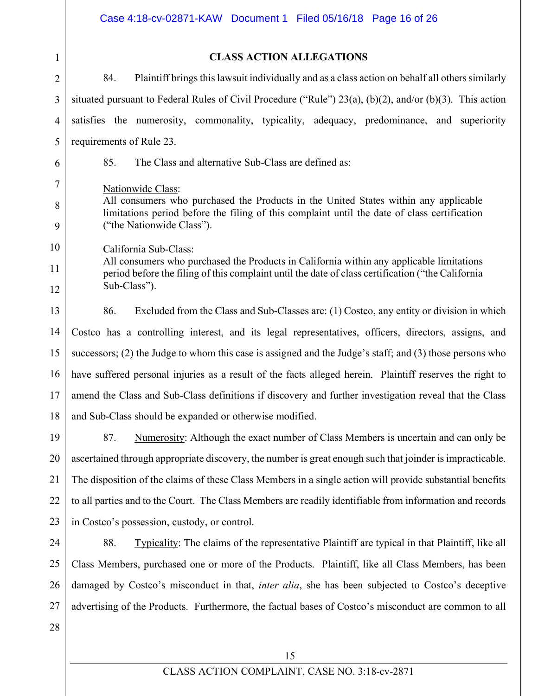|                | Case 4:18-cv-02871-KAW Document 1 Filed 05/16/18 Page 16 of 26                                                                                                                                 |  |  |  |  |
|----------------|------------------------------------------------------------------------------------------------------------------------------------------------------------------------------------------------|--|--|--|--|
| $\mathbf{1}$   | <b>CLASS ACTION ALLEGATIONS</b>                                                                                                                                                                |  |  |  |  |
| $\overline{2}$ | 84.<br>Plaintiff brings this lawsuit individually and as a class action on behalf all others similarly                                                                                         |  |  |  |  |
| 3              | situated pursuant to Federal Rules of Civil Procedure ("Rule") $23(a)$ , (b)(2), and/or (b)(3). This action                                                                                    |  |  |  |  |
| $\overline{4}$ | satisfies the numerosity, commonality, typicality, adequacy, predominance, and superiority                                                                                                     |  |  |  |  |
| 5              | requirements of Rule 23.                                                                                                                                                                       |  |  |  |  |
| 6              | The Class and alternative Sub-Class are defined as:<br>85.                                                                                                                                     |  |  |  |  |
| 7              |                                                                                                                                                                                                |  |  |  |  |
| 8              | Nationwide Class:<br>All consumers who purchased the Products in the United States within any applicable                                                                                       |  |  |  |  |
| 9              | limitations period before the filing of this complaint until the date of class certification<br>("the Nationwide Class").                                                                      |  |  |  |  |
| 10             | California Sub-Class:                                                                                                                                                                          |  |  |  |  |
| 11             | All consumers who purchased the Products in California within any applicable limitations<br>period before the filing of this complaint until the date of class certification ("the California" |  |  |  |  |
| 12             | Sub-Class").                                                                                                                                                                                   |  |  |  |  |
| 13             | 86.<br>Excluded from the Class and Sub-Classes are: (1) Costco, any entity or division in which                                                                                                |  |  |  |  |
| 14             | Costco has a controlling interest, and its legal representatives, officers, directors, assigns, and                                                                                            |  |  |  |  |
| 15             | successors; (2) the Judge to whom this case is assigned and the Judge's staff; and (3) those persons who                                                                                       |  |  |  |  |
| 16             | have suffered personal injuries as a result of the facts alleged herein. Plaintiff reserves the right to                                                                                       |  |  |  |  |
| 17             | amend the Class and Sub-Class definitions if discovery and further investigation reveal that the Class                                                                                         |  |  |  |  |
| 18             | and Sub-Class should be expanded or otherwise modified.                                                                                                                                        |  |  |  |  |
| 19             | 87.<br>Numerosity: Although the exact number of Class Members is uncertain and can only be                                                                                                     |  |  |  |  |
| 20             | ascertained through appropriate discovery, the number is great enough such that joinder is impracticable.                                                                                      |  |  |  |  |
| 21             | The disposition of the claims of these Class Members in a single action will provide substantial benefits                                                                                      |  |  |  |  |
| 22             | to all parties and to the Court. The Class Members are readily identifiable from information and records                                                                                       |  |  |  |  |
| 23             | in Costco's possession, custody, or control.                                                                                                                                                   |  |  |  |  |
| 24             | 88.<br>Typicality: The claims of the representative Plaintiff are typical in that Plaintiff, like all                                                                                          |  |  |  |  |
| 25             | Class Members, purchased one or more of the Products. Plaintiff, like all Class Members, has been                                                                                              |  |  |  |  |
| 26             | damaged by Costco's misconduct in that, <i>inter alia</i> , she has been subjected to Costco's deceptive                                                                                       |  |  |  |  |
| 27             | advertising of the Products. Furthermore, the factual bases of Costco's misconduct are common to all                                                                                           |  |  |  |  |
| 28             |                                                                                                                                                                                                |  |  |  |  |

 $\parallel$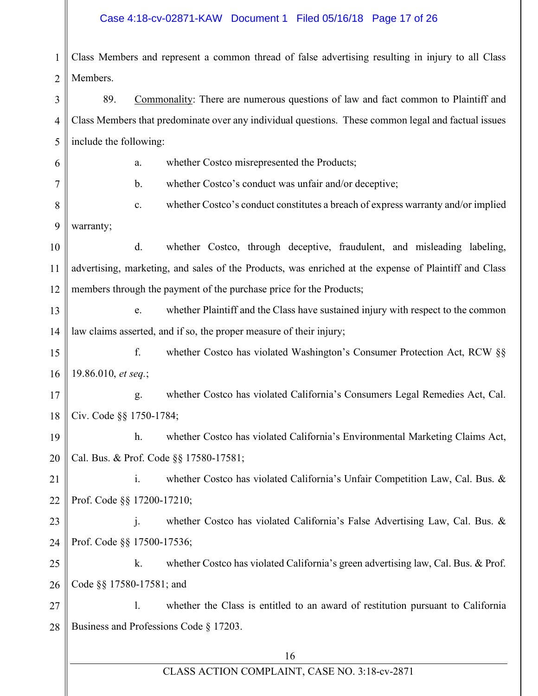## Case 4:18-cv-02871-KAW Document 1 Filed 05/16/18 Page 17 of 26

1 2 Class Members and represent a common thread of false advertising resulting in injury to all Class Members.

3 4 5 89. Commonality: There are numerous questions of law and fact common to Plaintiff and Class Members that predominate over any individual questions. These common legal and factual issues include the following:

6 7 a. whether Costco misrepresented the Products;

b. whether Costco's conduct was unfair and/or deceptive;

8 9 c. whether Costco's conduct constitutes a breach of express warranty and/or implied warranty;

10 11 12 d. whether Costco, through deceptive, fraudulent, and misleading labeling, advertising, marketing, and sales of the Products, was enriched at the expense of Plaintiff and Class members through the payment of the purchase price for the Products;

13 14 e. whether Plaintiff and the Class have sustained injury with respect to the common law claims asserted, and if so, the proper measure of their injury;

15 16 f. whether Costco has violated Washington's Consumer Protection Act, RCW §§ 19.86.010, *et seq.*;

17 18 g. whether Costco has violated California's Consumers Legal Remedies Act, Cal. Civ. Code §§ 1750-1784;

19 20 h. whether Costco has violated California's Environmental Marketing Claims Act, Cal. Bus. & Prof. Code §§ 17580-17581;

21 22 i. whether Costco has violated California's Unfair Competition Law, Cal. Bus. & Prof. Code §§ 17200-17210;

23 24 j. whether Costco has violated California's False Advertising Law, Cal. Bus. & Prof. Code §§ 17500-17536;

25 26 k. whether Costco has violated California's green advertising law, Cal. Bus. & Prof. Code §§ 17580-17581; and

27 28 l. whether the Class is entitled to an award of restitution pursuant to California Business and Professions Code § 17203.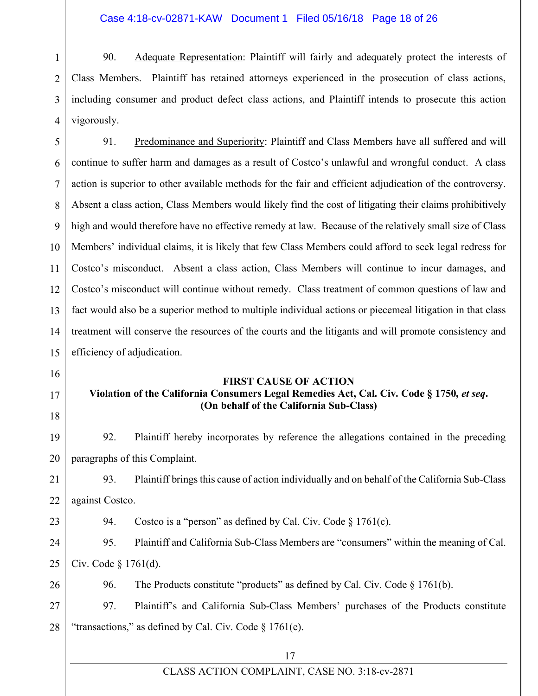## Case 4:18-cv-02871-KAW Document 1 Filed 05/16/18 Page 18 of 26

1 2 3 4 90. Adequate Representation: Plaintiff will fairly and adequately protect the interests of Class Members. Plaintiff has retained attorneys experienced in the prosecution of class actions, including consumer and product defect class actions, and Plaintiff intends to prosecute this action vigorously.

5 6 7 8 9 10 11 12 13 14 15 91. Predominance and Superiority: Plaintiff and Class Members have all suffered and will continue to suffer harm and damages as a result of Costco's unlawful and wrongful conduct. A class action is superior to other available methods for the fair and efficient adjudication of the controversy. Absent a class action, Class Members would likely find the cost of litigating their claims prohibitively high and would therefore have no effective remedy at law. Because of the relatively small size of Class Members' individual claims, it is likely that few Class Members could afford to seek legal redress for Costco's misconduct. Absent a class action, Class Members will continue to incur damages, and Costco's misconduct will continue without remedy. Class treatment of common questions of law and fact would also be a superior method to multiple individual actions or piecemeal litigation in that class treatment will conserve the resources of the courts and the litigants and will promote consistency and efficiency of adjudication.

16

## 17

18

26

**FIRST CAUSE OF ACTION Violation of the California Consumers Legal Remedies Act, Cal. Civ. Code § 1750,** *et seq***. (On behalf of the California Sub-Class)** 

19 20 92. Plaintiff hereby incorporates by reference the allegations contained in the preceding paragraphs of this Complaint.

21 22 93. Plaintiff brings this cause of action individually and on behalf of the California Sub-Class against Costco.

23 94. Costco is a "person" as defined by Cal. Civ. Code § 1761(c).

24 25 95. Plaintiff and California Sub-Class Members are "consumers" within the meaning of Cal. Civ. Code § 1761(d).

96. The Products constitute "products" as defined by Cal. Civ. Code § 1761(b).

27 28 97. Plaintiff's and California Sub-Class Members' purchases of the Products constitute "transactions," as defined by Cal. Civ. Code  $\S 1761(e)$ .

## CLASS ACTION COMPLAINT, CASE NO. 3:18-cv-2871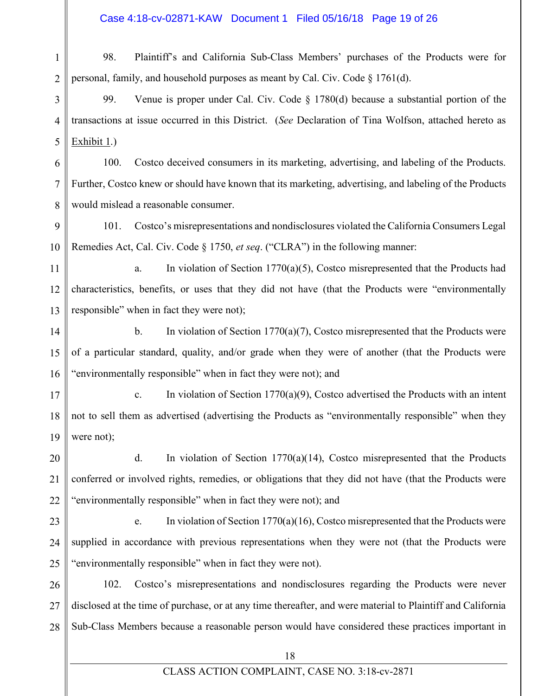1 2 98. Plaintiff's and California Sub-Class Members' purchases of the Products were for personal, family, and household purposes as meant by Cal. Civ. Code  $\S 1761(d)$ .

3 4 5 99. Venue is proper under Cal. Civ. Code § 1780(d) because a substantial portion of the transactions at issue occurred in this District. (*See* Declaration of Tina Wolfson, attached hereto as Exhibit 1.)

6 7 8 100. Costco deceived consumers in its marketing, advertising, and labeling of the Products. Further, Costco knew or should have known that its marketing, advertising, and labeling of the Products would mislead a reasonable consumer.

9 10 101. Costco's misrepresentations and nondisclosures violated the California Consumers Legal Remedies Act, Cal. Civ. Code § 1750, *et seq*. ("CLRA") in the following manner:

11

12 13 a. In violation of Section 1770(a)(5), Costco misrepresented that the Products had characteristics, benefits, or uses that they did not have (that the Products were "environmentally responsible" when in fact they were not);

14 15 16 b. In violation of Section 1770(a)(7), Costco misrepresented that the Products were of a particular standard, quality, and/or grade when they were of another (that the Products were "environmentally responsible" when in fact they were not); and

17 18 19 c. In violation of Section 1770(a)(9), Costco advertised the Products with an intent not to sell them as advertised (advertising the Products as "environmentally responsible" when they were not);

20 21 22 d. In violation of Section 1770(a)(14), Costco misrepresented that the Products conferred or involved rights, remedies, or obligations that they did not have (that the Products were "environmentally responsible" when in fact they were not); and

23

24 25 e. In violation of Section 1770(a)(16), Costco misrepresented that the Products were supplied in accordance with previous representations when they were not (that the Products were "environmentally responsible" when in fact they were not).

26 27 28 102. Costco's misrepresentations and nondisclosures regarding the Products were never disclosed at the time of purchase, or at any time thereafter, and were material to Plaintiff and California Sub-Class Members because a reasonable person would have considered these practices important in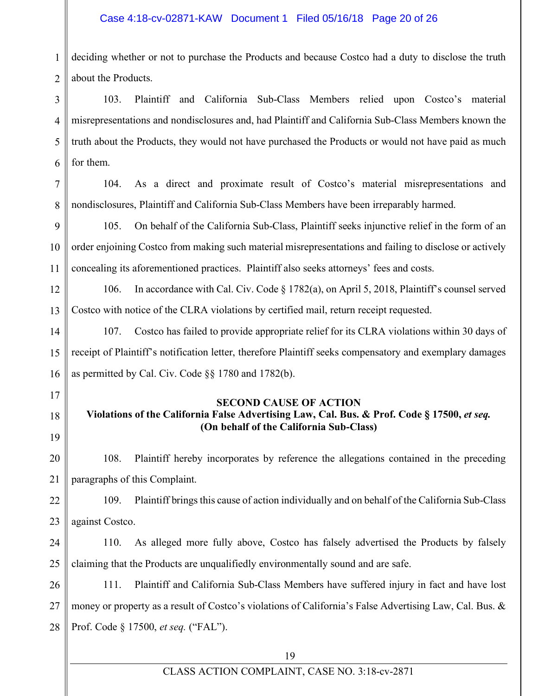## Case 4:18-cv-02871-KAW Document 1 Filed 05/16/18 Page 20 of 26

| $\mathbf{1}$   | deciding whether or not to purchase the Products and because Costco had a duty to disclose the truth                                   |  |  |  |
|----------------|----------------------------------------------------------------------------------------------------------------------------------------|--|--|--|
| $\overline{2}$ | about the Products.                                                                                                                    |  |  |  |
| 3              | 103.<br>Plaintiff and California Sub-Class Members relied upon Costco's material                                                       |  |  |  |
| 4              | misrepresentations and nondisclosures and, had Plaintiff and California Sub-Class Members known the                                    |  |  |  |
| 5              | truth about the Products, they would not have purchased the Products or would not have paid as much                                    |  |  |  |
| 6              | for them.                                                                                                                              |  |  |  |
| 7              | As a direct and proximate result of Costco's material misrepresentations and<br>104.                                                   |  |  |  |
| 8              | nondisclosures, Plaintiff and California Sub-Class Members have been irreparably harmed.                                               |  |  |  |
| 9              | On behalf of the California Sub-Class, Plaintiff seeks injunctive relief in the form of an<br>105.                                     |  |  |  |
| 10             | order enjoining Costco from making such material misrepresentations and failing to disclose or actively                                |  |  |  |
| 11             | concealing its aforementioned practices. Plaintiff also seeks attorneys' fees and costs.                                               |  |  |  |
| 12             | In accordance with Cal. Civ. Code $\S 1782(a)$ , on April 5, 2018, Plaintiff's counsel served<br>106.                                  |  |  |  |
| 13             | Costco with notice of the CLRA violations by certified mail, return receipt requested.                                                 |  |  |  |
| 14             | Costco has failed to provide appropriate relief for its CLRA violations within 30 days of<br>107.                                      |  |  |  |
| 15             | receipt of Plaintiff's notification letter, therefore Plaintiff seeks compensatory and exemplary damages                               |  |  |  |
| 16             | as permitted by Cal. Civ. Code $\S$ § 1780 and 1782(b).                                                                                |  |  |  |
| 17             | <b>SECOND CAUSE OF ACTION</b>                                                                                                          |  |  |  |
| 18             | Violations of the California False Advertising Law, Cal. Bus. & Prof. Code § 17500, et seq.<br>(On behalf of the California Sub-Class) |  |  |  |
| 19             |                                                                                                                                        |  |  |  |
| 20             | Plaintiff hereby incorporates by reference the allegations contained in the preceding<br>108.                                          |  |  |  |
| 21             | paragraphs of this Complaint.                                                                                                          |  |  |  |
| 22             | Plaintiff brings this cause of action individually and on behalf of the California Sub-Class<br>109.                                   |  |  |  |
| 23             | against Costco.                                                                                                                        |  |  |  |
| 24             | As alleged more fully above, Costco has falsely advertised the Products by falsely<br>110.                                             |  |  |  |
| 25             | claiming that the Products are unqualifiedly environmentally sound and are safe.                                                       |  |  |  |
| 26             | Plaintiff and California Sub-Class Members have suffered injury in fact and have lost<br>111.                                          |  |  |  |
| 27             | money or property as a result of Costco's violations of California's False Advertising Law, Cal. Bus. &                                |  |  |  |
| 28             | Prof. Code § 17500, et seq. ("FAL").                                                                                                   |  |  |  |
|                |                                                                                                                                        |  |  |  |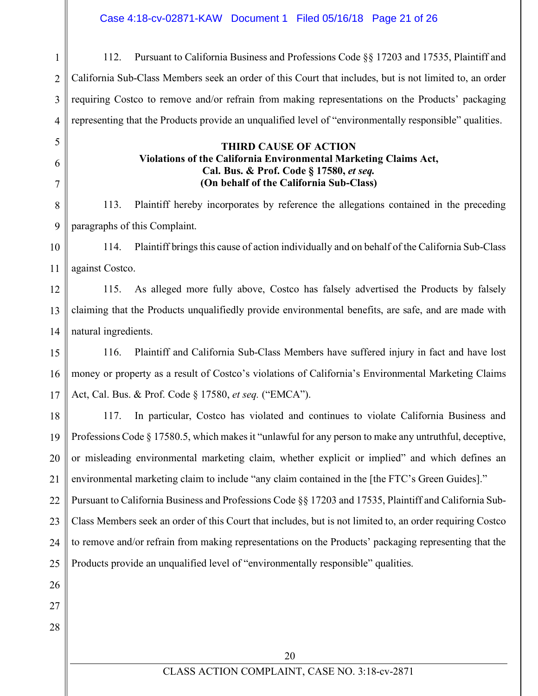1 2 3 4 112. Pursuant to California Business and Professions Code §§ 17203 and 17535, Plaintiff and California Sub-Class Members seek an order of this Court that includes, but is not limited to, an order requiring Costco to remove and/or refrain from making representations on the Products' packaging representing that the Products provide an unqualified level of "environmentally responsible" qualities.

## **THIRD CAUSE OF ACTION Violations of the California Environmental Marketing Claims Act, Cal. Bus. & Prof. Code § 17580,** *et seq.*  **(On behalf of the California Sub-Class)**

8 9 113. Plaintiff hereby incorporates by reference the allegations contained in the preceding paragraphs of this Complaint.

10 11 114. Plaintiff brings this cause of action individually and on behalf of the California Sub-Class against Costco.

12 13 14 115. As alleged more fully above, Costco has falsely advertised the Products by falsely claiming that the Products unqualifiedly provide environmental benefits, are safe, and are made with natural ingredients.

15 16 17 116. Plaintiff and California Sub-Class Members have suffered injury in fact and have lost money or property as a result of Costco's violations of California's Environmental Marketing Claims Act, Cal. Bus. & Prof. Code § 17580, *et seq.* ("EMCA").

18 19 20 21 22 23 24 25 117. In particular, Costco has violated and continues to violate California Business and Professions Code § 17580.5, which makes it "unlawful for any person to make any untruthful, deceptive, or misleading environmental marketing claim, whether explicit or implied" and which defines an environmental marketing claim to include "any claim contained in the [the FTC's Green Guides]." Pursuant to California Business and Professions Code §§ 17203 and 17535, Plaintiff and California Sub-Class Members seek an order of this Court that includes, but is not limited to, an order requiring Costco to remove and/or refrain from making representations on the Products' packaging representing that the Products provide an unqualified level of "environmentally responsible" qualities.

26

5

6

7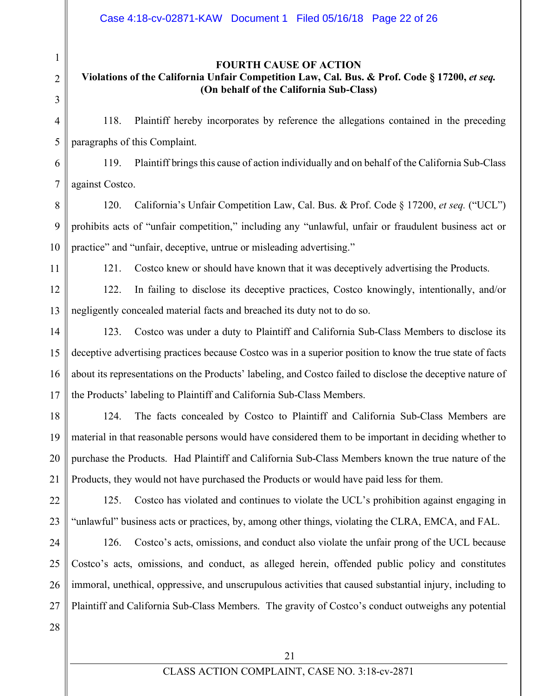1

2

3

11

28

## **FOURTH CAUSE OF ACTION** Violations of the California Unfair Competition Law, Cal. Bus. & Prof. Code § 17200, *et seq.* **(On behalf of the California Sub-Class)**

4 5 118. Plaintiff hereby incorporates by reference the allegations contained in the preceding paragraphs of this Complaint.

6 7 119. Plaintiff brings this cause of action individually and on behalf of the California Sub-Class against Costco.

8 9 10 120. California's Unfair Competition Law, Cal. Bus. & Prof. Code § 17200, *et seq.* ("UCL") prohibits acts of "unfair competition," including any "unlawful, unfair or fraudulent business act or practice" and "unfair, deceptive, untrue or misleading advertising."

121. Costco knew or should have known that it was deceptively advertising the Products.

12 13 122. In failing to disclose its deceptive practices, Costco knowingly, intentionally, and/or negligently concealed material facts and breached its duty not to do so.

14 15 16 17 123. Costco was under a duty to Plaintiff and California Sub-Class Members to disclose its deceptive advertising practices because Costco was in a superior position to know the true state of facts about its representations on the Products' labeling, and Costco failed to disclose the deceptive nature of the Products' labeling to Plaintiff and California Sub-Class Members.

18 19 20 21 124. The facts concealed by Costco to Plaintiff and California Sub-Class Members are material in that reasonable persons would have considered them to be important in deciding whether to purchase the Products. Had Plaintiff and California Sub-Class Members known the true nature of the Products, they would not have purchased the Products or would have paid less for them.

22 23 125. Costco has violated and continues to violate the UCL's prohibition against engaging in "unlawful" business acts or practices, by, among other things, violating the CLRA, EMCA, and FAL.

24 25 26 27 126. Costco's acts, omissions, and conduct also violate the unfair prong of the UCL because Costco's acts, omissions, and conduct, as alleged herein, offended public policy and constitutes immoral, unethical, oppressive, and unscrupulous activities that caused substantial injury, including to Plaintiff and California Sub-Class Members. The gravity of Costco's conduct outweighs any potential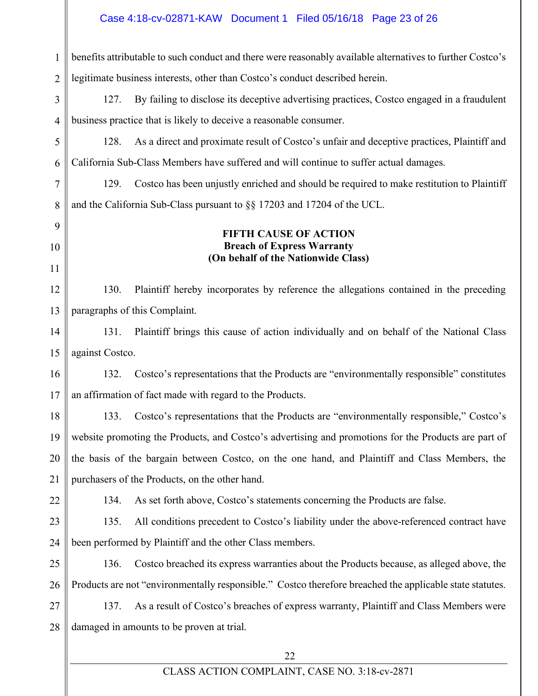## 1 2 3 4 5 6 7 8 9 10 11 12 13 14 15 16 17 18 19 20 21 22 23 24 25 26 27 28 benefits attributable to such conduct and there were reasonably available alternatives to further Costco's legitimate business interests, other than Costco's conduct described herein. 127. By failing to disclose its deceptive advertising practices, Costco engaged in a fraudulent business practice that is likely to deceive a reasonable consumer. 128. As a direct and proximate result of Costco's unfair and deceptive practices, Plaintiff and California Sub-Class Members have suffered and will continue to suffer actual damages. 129. Costco has been unjustly enriched and should be required to make restitution to Plaintiff and the California Sub-Class pursuant to §§ 17203 and 17204 of the UCL. **FIFTH CAUSE OF ACTION Breach of Express Warranty (On behalf of the Nationwide Class)**  130. Plaintiff hereby incorporates by reference the allegations contained in the preceding paragraphs of this Complaint. 131. Plaintiff brings this cause of action individually and on behalf of the National Class against Costco. 132. Costco's representations that the Products are "environmentally responsible" constitutes an affirmation of fact made with regard to the Products. 133. Costco's representations that the Products are "environmentally responsible," Costco's website promoting the Products, and Costco's advertising and promotions for the Products are part of the basis of the bargain between Costco, on the one hand, and Plaintiff and Class Members, the purchasers of the Products, on the other hand. 134. As set forth above, Costco's statements concerning the Products are false. 135. All conditions precedent to Costco's liability under the above-referenced contract have been performed by Plaintiff and the other Class members. 136. Costco breached its express warranties about the Products because, as alleged above, the Products are not "environmentally responsible." Costco therefore breached the applicable state statutes. 137. As a result of Costco's breaches of express warranty, Plaintiff and Class Members were damaged in amounts to be proven at trial. Case 4:18-cv-02871-KAW Document 1 Filed 05/16/18 Page 23 of 26

## CLASS ACTION COMPLAINT, CASE NO. 3:18-cv-2871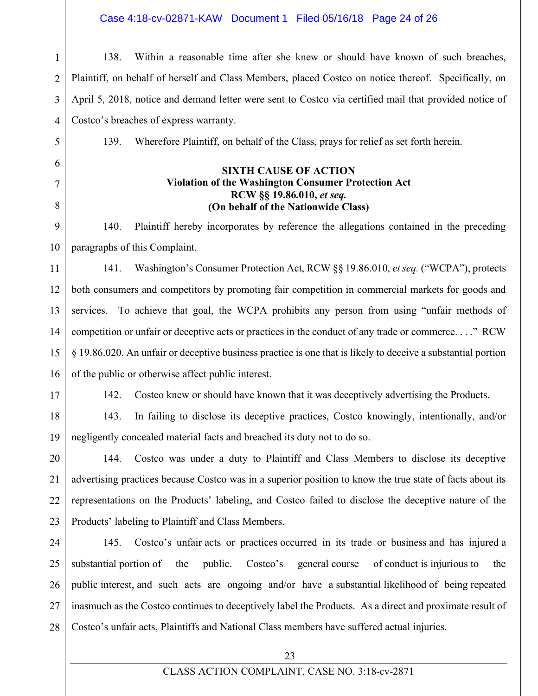## Case 4:18-cv-02871-KAW Document 1 Filed 05/16/18 Page 24 of 26

1 2 3 4 138. Within a reasonable time after she knew or should have known of such breaches, Plaintiff, on behalf of herself and Class Members, placed Costco on notice thereof. Specifically, on April 5, 2018, notice and demand letter were sent to Costco via certified mail that provided notice of Costco's breaches of express warranty.

139. Wherefore Plaintiff, on behalf of the Class, prays for relief as set forth herein.

## **SIXTH CAUSE OF ACTION Violation of the Washington Consumer Protection Act RCW §§ 19.86.010,** *et seq.* **(On behalf of the Nationwide Class)**

9 10 140. Plaintiff hereby incorporates by reference the allegations contained in the preceding paragraphs of this Complaint.

11 12 13 14 15 16 141. Washington's Consumer Protection Act, RCW §§ 19.86.010, *et seq.* ("WCPA"), protects both consumers and competitors by promoting fair competition in commercial markets for goods and services. To achieve that goal, the WCPA prohibits any person from using "unfair methods of competition or unfair or deceptive acts or practices in the conduct of any trade or commerce. . . ." RCW § 19.86.020. An unfair or deceptive business practice is one that is likely to deceive a substantial portion of the public or otherwise affect public interest.

17

5

6

7

8

142. Costco knew or should have known that it was deceptively advertising the Products.

18 19 143. In failing to disclose its deceptive practices, Costco knowingly, intentionally, and/or negligently concealed material facts and breached its duty not to do so.

20 21 22 23 144. Costco was under a duty to Plaintiff and Class Members to disclose its deceptive advertising practices because Costco was in a superior position to know the true state of facts about its representations on the Products' labeling, and Costco failed to disclose the deceptive nature of the Products' labeling to Plaintiff and Class Members.

24 25 26 27 28 145. Costco's unfair acts or practices occurred in its trade or business and has injured a substantial portion of the public. Costco's general course of conduct is injurious to the public interest, and such acts are ongoing and/or have a substantial likelihood of being repeated inasmuch as the Costco continues to deceptively label the Products. As a direct and proximate result of Costco's unfair acts, Plaintiffs and National Class members have suffered actual injuries.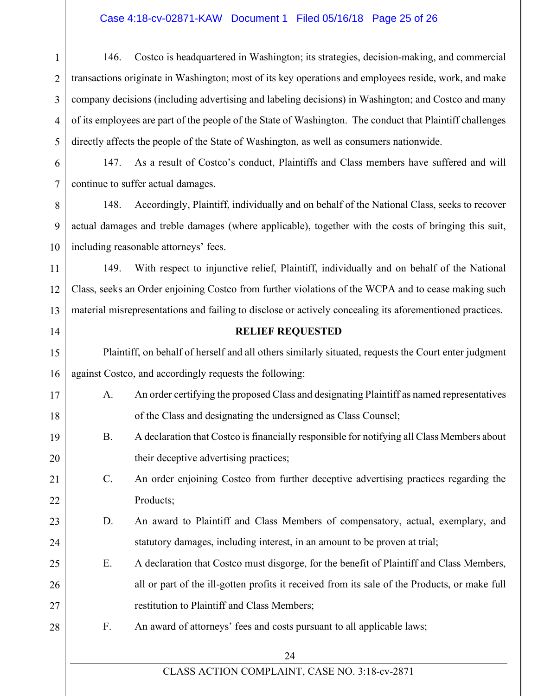## Case 4:18-cv-02871-KAW Document 1 Filed 05/16/18 Page 25 of 26

1 2 3 4 5 146. Costco is headquartered in Washington; its strategies, decision-making, and commercial transactions originate in Washington; most of its key operations and employees reside, work, and make company decisions (including advertising and labeling decisions) in Washington; and Costco and many of its employees are part of the people of the State of Washington. The conduct that Plaintiff challenges directly affects the people of the State of Washington, as well as consumers nationwide.

6 7 147. As a result of Costco's conduct, Plaintiffs and Class members have suffered and will continue to suffer actual damages.

8 9 10 148. Accordingly, Plaintiff, individually and on behalf of the National Class, seeks to recover actual damages and treble damages (where applicable), together with the costs of bringing this suit, including reasonable attorneys' fees.

11 12 13 149. With respect to injunctive relief, Plaintiff, individually and on behalf of the National Class, seeks an Order enjoining Costco from further violations of the WCPA and to cease making such material misrepresentations and failing to disclose or actively concealing its aforementioned practices.

14

17

18

19

20

### **RELIEF REQUESTED**

15 16 Plaintiff, on behalf of herself and all others similarly situated, requests the Court enter judgment against Costco, and accordingly requests the following:

- A. An order certifying the proposed Class and designating Plaintiff as named representatives of the Class and designating the undersigned as Class Counsel;
- B. A declaration that Costco is financially responsible for notifying all Class Members about their deceptive advertising practices;
- 21 22 C. An order enjoining Costco from further deceptive advertising practices regarding the Products;
- 23 24 D. An award to Plaintiff and Class Members of compensatory, actual, exemplary, and statutory damages, including interest, in an amount to be proven at trial;
- 25 26 27 E. A declaration that Costco must disgorge, for the benefit of Plaintiff and Class Members, all or part of the ill-gotten profits it received from its sale of the Products, or make full restitution to Plaintiff and Class Members;
- 28 F. An award of attorneys' fees and costs pursuant to all applicable laws;

### CLASS ACTION COMPLAINT, CASE NO. 3:18-cv-2871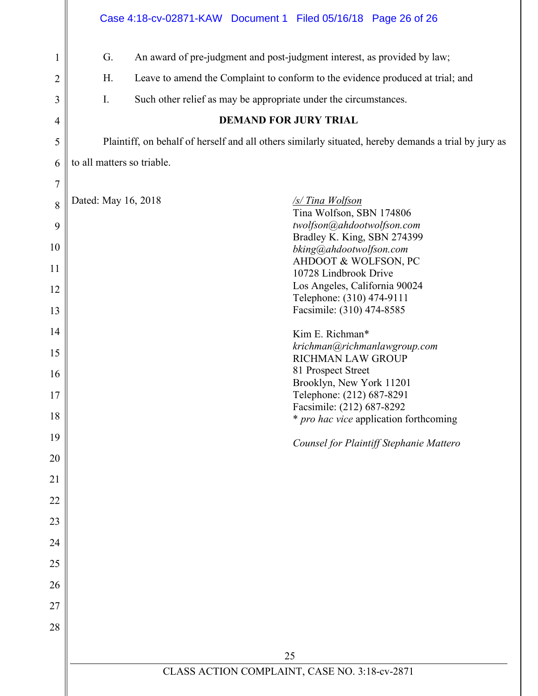|                | Case 4:18-cv-02871-KAW Document 1 Filed 05/16/18 Page 26 of 26                                       |  |  |
|----------------|------------------------------------------------------------------------------------------------------|--|--|
| $\mathbf{1}$   | An award of pre-judgment and post-judgment interest, as provided by law;<br>G.                       |  |  |
| $\overline{2}$ | Η.<br>Leave to amend the Complaint to conform to the evidence produced at trial; and                 |  |  |
| 3              | $I_{\cdot}$<br>Such other relief as may be appropriate under the circumstances.                      |  |  |
| $\overline{4}$ | <b>DEMAND FOR JURY TRIAL</b>                                                                         |  |  |
| 5              | Plaintiff, on behalf of herself and all others similarly situated, hereby demands a trial by jury as |  |  |
| 6              | to all matters so triable.                                                                           |  |  |
| $\overline{7}$ |                                                                                                      |  |  |
| 8              | Dated: May 16, 2018<br><u>/s/ Tina Wolfson</u><br>Tina Wolfson, SBN 174806                           |  |  |
| 9              | twolfson@ahdootwolfson.com<br>Bradley K. King, SBN 274399                                            |  |  |
| 10             | bking@ahdootwolfson.com                                                                              |  |  |
| 11             | AHDOOT & WOLFSON, PC<br>10728 Lindbrook Drive                                                        |  |  |
| 12             | Los Angeles, California 90024<br>Telephone: (310) 474-9111                                           |  |  |
| 13             | Facsimile: (310) 474-8585                                                                            |  |  |
| 14             | Kim E. Richman*<br>krichman@richmanlawgroup.com                                                      |  |  |
| 15             | <b>RICHMAN LAW GROUP</b>                                                                             |  |  |
| 16             | 81 Prospect Street<br>Brooklyn, New York 11201                                                       |  |  |
| 17             | Telephone: (212) 687-8291<br>Facsimile: (212) 687-8292                                               |  |  |
| 18             | <i>* pro hac vice</i> application forthcoming                                                        |  |  |
| 19             | Counsel for Plaintiff Stephanie Mattero                                                              |  |  |
| 20             |                                                                                                      |  |  |
| 21             |                                                                                                      |  |  |
| 22             |                                                                                                      |  |  |
| 23             |                                                                                                      |  |  |
| 24             |                                                                                                      |  |  |
| 25             |                                                                                                      |  |  |
| 26             |                                                                                                      |  |  |
| 27<br>28       |                                                                                                      |  |  |
|                |                                                                                                      |  |  |
|                | 25                                                                                                   |  |  |
|                | CLASS ACTION COMPLAINT, CASE NO. 3:18-cv-2871                                                        |  |  |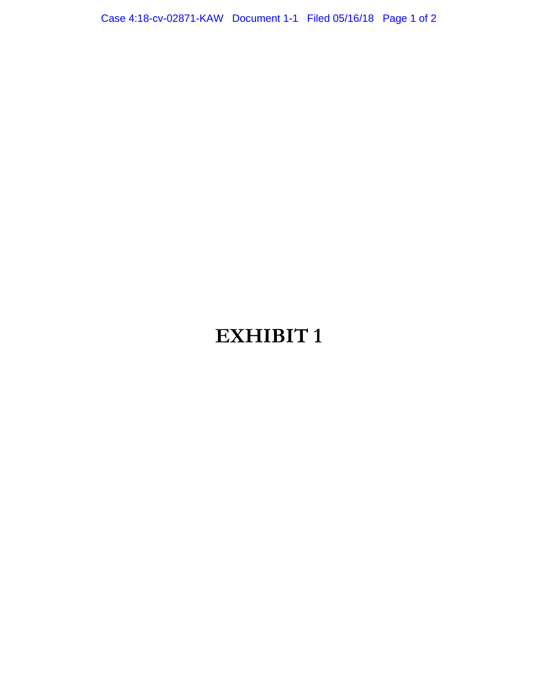Case 4:18-cv-02871-KAW Document 1-1 Filed 05/16/18 Page 1 of 2

# **EXHIBIT 1**